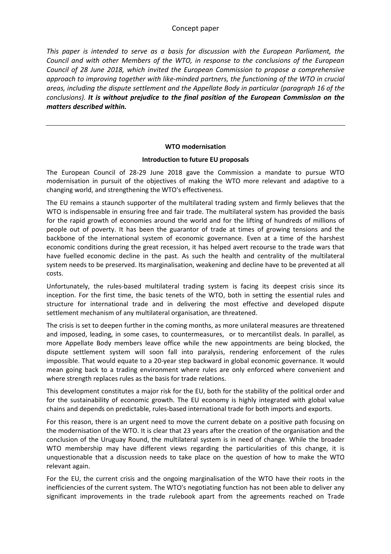*This paper is intended to serve as a basis for discussion with the European Parliament, the Council and with other Members of the WTO, in response to the conclusions of the European Council of 28 June 2018, which invited the European Commission to propose a comprehensive approach to improving together with like-minded partners, the functioning of the WTO in crucial areas, including the dispute settlement and the Appellate Body in particular (paragraph 16 of the conclusions). It is without prejudice to the final position of the European Commission on the matters described within.*

### **WTO modernisation**

### **Introduction to future EU proposals**

The European Council of 28-29 June 2018 gave the Commission a mandate to pursue WTO modernisation in pursuit of the objectives of making the WTO more relevant and adaptive to a changing world, and strengthening the WTO's effectiveness.

The EU remains a staunch supporter of the multilateral trading system and firmly believes that the WTO is indispensable in ensuring free and fair trade. The multilateral system has provided the basis for the rapid growth of economies around the world and for the lifting of hundreds of millions of people out of poverty. It has been the guarantor of trade at times of growing tensions and the backbone of the international system of economic governance. Even at a time of the harshest economic conditions during the great recession, it has helped avert recourse to the trade wars that have fuelled economic decline in the past. As such the health and centrality of the multilateral system needs to be preserved. Its marginalisation, weakening and decline have to be prevented at all costs.

Unfortunately, the rules-based multilateral trading system is facing its deepest crisis since its inception. For the first time, the basic tenets of the WTO, both in setting the essential rules and structure for international trade and in delivering the most effective and developed dispute settlement mechanism of any multilateral organisation, are threatened.

The crisis is set to deepen further in the coming months, as more unilateral measures are threatened and imposed, leading, in some cases, to countermeasures, or to mercantilist deals. In parallel, as more Appellate Body members leave office while the new appointments are being blocked, the dispute settlement system will soon fall into paralysis, rendering enforcement of the rules impossible. That would equate to a 20-year step backward in global economic governance. It would mean going back to a trading environment where rules are only enforced where convenient and where strength replaces rules as the basis for trade relations.

This development constitutes a major risk for the EU, both for the stability of the political order and for the sustainability of economic growth. The EU economy is highly integrated with global value chains and depends on predictable, rules-based international trade for both imports and exports.

For this reason, there is an urgent need to move the current debate on a positive path focusing on the modernisation of the WTO. It is clear that 23 years after the creation of the organisation and the conclusion of the Uruguay Round, the multilateral system is in need of change. While the broader WTO membership may have different views regarding the particularities of this change, it is unquestionable that a discussion needs to take place on the question of how to make the WTO relevant again.

For the EU, the current crisis and the ongoing marginalisation of the WTO have their roots in the inefficiencies of the current system. The WTO's negotiating function has not been able to deliver any significant improvements in the trade rulebook apart from the agreements reached on Trade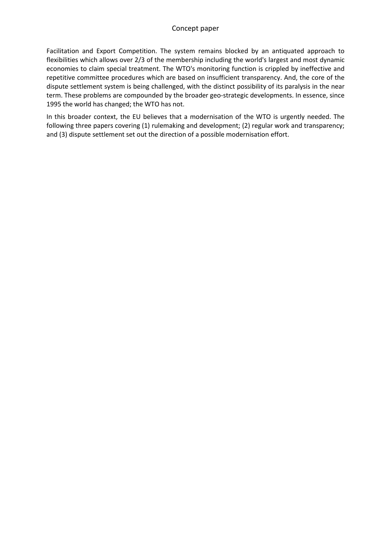Facilitation and Export Competition. The system remains blocked by an antiquated approach to flexibilities which allows over 2/3 of the membership including the world's largest and most dynamic economies to claim special treatment. The WTO's monitoring function is crippled by ineffective and repetitive committee procedures which are based on insufficient transparency. And, the core of the dispute settlement system is being challenged, with the distinct possibility of its paralysis in the near term. These problems are compounded by the broader geo-strategic developments. In essence, since 1995 the world has changed; the WTO has not.

In this broader context, the EU believes that a modernisation of the WTO is urgently needed. The following three papers covering (1) rulemaking and development; (2) regular work and transparency; and (3) dispute settlement set out the direction of a possible modernisation effort.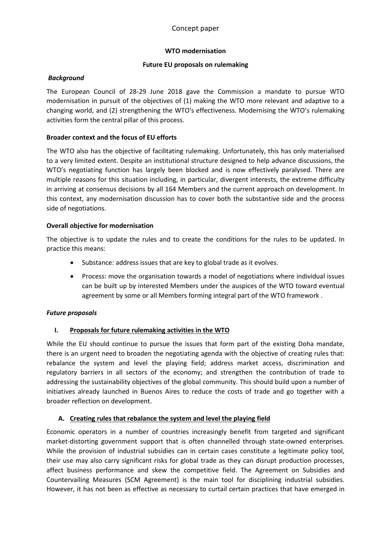## **WTO modernisation**

## **Future EU proposals on rulemaking**

### *Background*

The European Council of 28-29 June 2018 gave the Commission a mandate to pursue WTO modernisation in pursuit of the objectives of (1) making the WTO more relevant and adaptive to a changing world, and (2) strengthening the WTO's effectiveness. Modernising the WTO's rulemaking activities form the central pillar of this process.

## **Broader context and the focus of EU efforts**

The WTO also has the objective of facilitating rulemaking. Unfortunately, this has only materialised to a very limited extent. Despite an institutional structure designed to help advance discussions, the WTO's negotiating function has largely been blocked and is now effectively paralysed. There are multiple reasons for this situation including, in particular, divergent interests, the extreme difficulty in arriving at consensus decisions by all 164 Members and the current approach on development. In this context, any modernisation discussion has to cover both the substantive side and the process side of negotiations.

### **Overall objective for modernisation**

The objective is to update the rules and to create the conditions for the rules to be updated. In practice this means:

- Substance: address issues that are key to global trade as it evolves.
- Process: move the organisation towards a model of negotiations where individual issues can be built up by interested Members under the auspices of the WTO toward eventual agreement by some or all Members forming integral part of the WTO framework .

## *Future proposals*

## **I. Proposals for future rulemaking activities in the WTO**

While the EU should continue to pursue the issues that form part of the existing Doha mandate, there is an urgent need to broaden the negotiating agenda with the objective of creating rules that: rebalance the system and level the playing field; address market access, discrimination and regulatory barriers in all sectors of the economy; and strengthen the contribution of trade to addressing the sustainability objectives of the global community. This should build upon a number of initiatives already launched in Buenos Aires to reduce the costs of trade and go together with a broader reflection on development.

## **A. Creating rules that rebalance the system and level the playing field**

Economic operators in a number of countries increasingly benefit from targeted and significant market-distorting government support that is often channelled through state-owned enterprises. While the provision of industrial subsidies can in certain cases constitute a legitimate policy tool, their use may also carry significant risks for global trade as they can disrupt production processes, affect business performance and skew the competitive field. The Agreement on Subsidies and Countervailing Measures (SCM Agreement) is the main tool for disciplining industrial subsidies. However, it has not been as effective as necessary to curtail certain practices that have emerged in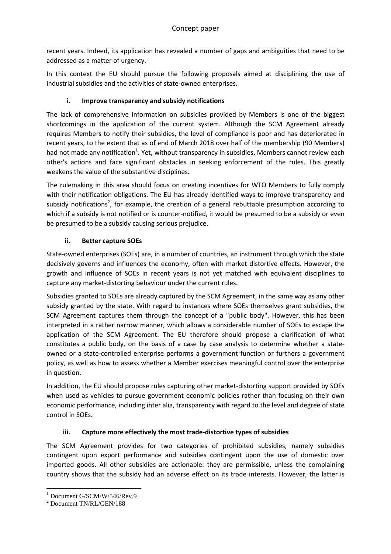recent years. Indeed, its application has revealed a number of gaps and ambiguities that need to be addressed as a matter of urgency.

In this context the EU should pursue the following proposals aimed at disciplining the use of industrial subsidies and the activities of state-owned enterprises.

# **i. Improve transparency and subsidy notifications**

The lack of comprehensive information on subsidies provided by Members is one of the biggest shortcomings in the application of the current system. Although the SCM Agreement already requires Members to notify their subsidies, the level of compliance is poor and has deteriorated in recent years, to the extent that as of end of March 2018 over half of the membership (90 Members) had not made any notification<sup>1</sup>. Yet, without transparency in subsidies, Members cannot review each other's actions and face significant obstacles in seeking enforcement of the rules. This greatly weakens the value of the substantive disciplines.

The rulemaking in this area should focus on creating incentives for WTO Members to fully comply with their notification obligations. The EU has already identified ways to improve transparency and subsidy notifications<sup>2</sup>, for example, the creation of a general rebuttable presumption according to which if a subsidy is not notified or is counter-notified, it would be presumed to be a subsidy or even be presumed to be a subsidy causing serious prejudice.

## **ii. Better capture SOEs**

State-owned enterprises (SOEs) are, in a number of countries, an instrument through which the state decisively governs and influences the economy, often with market distortive effects. However, the growth and influence of SOEs in recent years is not yet matched with equivalent disciplines to capture any market-distorting behaviour under the current rules.

Subsidies granted to SOEs are already captured by the SCM Agreement, in the same way as any other subsidy granted by the state. With regard to instances where SOEs themselves grant subsidies, the SCM Agreement captures them through the concept of a "public body". However, this has been interpreted in a rather narrow manner, which allows a considerable number of SOEs to escape the application of the SCM Agreement. The EU therefore should propose a clarification of what constitutes a public body, on the basis of a case by case analysis to determine whether a stateowned or a state-controlled enterprise performs a government function or furthers a government policy, as well as how to assess whether a Member exercises meaningful control over the enterprise in question.

In addition, the EU should propose rules capturing other market-distorting support provided by SOEs when used as vehicles to pursue government economic policies rather than focusing on their own economic performance, including inter alia, transparency with regard to the level and degree of state control in SOEs.

# **iii. Capture more effectively the most trade-distortive types of subsidies**

The SCM Agreement provides for two categories of prohibited subsidies, namely subsidies contingent upon export performance and subsidies contingent upon the use of domestic over imported goods. All other subsidies are actionable: they are permissible, unless the complaining country shows that the subsidy had an adverse effect on its trade interests. However, the latter is

<sup>&</sup>lt;sup>1</sup> Document G/SCM/W/546/Rev.9

<sup>2</sup> Document TN/RL/GEN/188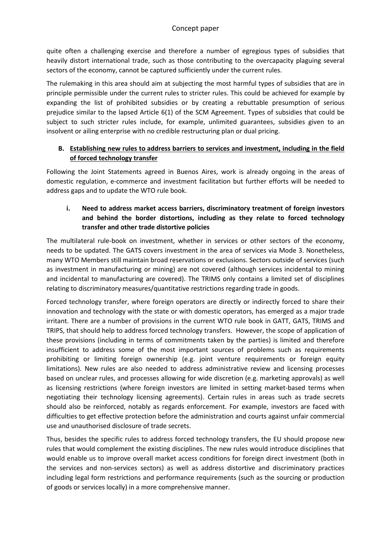quite often a challenging exercise and therefore a number of egregious types of subsidies that heavily distort international trade, such as those contributing to the overcapacity plaguing several sectors of the economy, cannot be captured sufficiently under the current rules.

The rulemaking in this area should aim at subjecting the most harmful types of subsidies that are in principle permissible under the current rules to stricter rules. This could be achieved for example by expanding the list of prohibited subsidies or by creating a rebuttable presumption of serious prejudice similar to the lapsed Article 6(1) of the SCM Agreement. Types of subsidies that could be subject to such stricter rules include, for example, unlimited guarantees, subsidies given to an insolvent or ailing enterprise with no credible restructuring plan or dual pricing.

# **B. Establishing new rules to address barriers to services and investment, including in the field of forced technology transfer**

Following the Joint Statements agreed in Buenos Aires, work is already ongoing in the areas of domestic regulation, e-commerce and investment facilitation but further efforts will be needed to address gaps and to update the WTO rule book.

# **i. Need to address market access barriers, discriminatory treatment of foreign investors and behind the border distortions, including as they relate to forced technology transfer and other trade distortive policies**

The multilateral rule-book on investment, whether in services or other sectors of the economy, needs to be updated. The GATS covers investment in the area of services via Mode 3. Nonetheless, many WTO Members still maintain broad reservations or exclusions. Sectors outside of services (such as investment in manufacturing or mining) are not covered (although services incidental to mining and incidental to manufacturing are covered). The TRIMS only contains a limited set of disciplines relating to discriminatory measures/quantitative restrictions regarding trade in goods.

Forced technology transfer, where foreign operators are directly or indirectly forced to share their innovation and technology with the state or with domestic operators, has emerged as a major trade irritant. There are a number of provisions in the current WTO rule book in GATT, GATS, TRIMS and TRIPS, that should help to address forced technology transfers. However, the scope of application of these provisions (including in terms of commitments taken by the parties) is limited and therefore insufficient to address some of the most important sources of problems such as requirements prohibiting or limiting foreign ownership (e.g. joint venture requirements or foreign equity limitations). New rules are also needed to address administrative review and licensing processes based on unclear rules, and processes allowing for wide discretion (e.g. marketing approvals) as well as licensing restrictions (where foreign investors are limited in setting market-based terms when negotiating their technology licensing agreements). Certain rules in areas such as trade secrets should also be reinforced, notably as regards enforcement. For example, investors are faced with difficulties to get effective protection before the administration and courts against unfair commercial use and unauthorised disclosure of trade secrets.

Thus, besides the specific rules to address forced technology transfers, the EU should propose new rules that would complement the existing disciplines. The new rules would introduce disciplines that would enable us to improve overall market access conditions for foreign direct investment (both in the services and non-services sectors) as well as address distortive and discriminatory practices including legal form restrictions and performance requirements (such as the sourcing or production of goods or services locally) in a more comprehensive manner.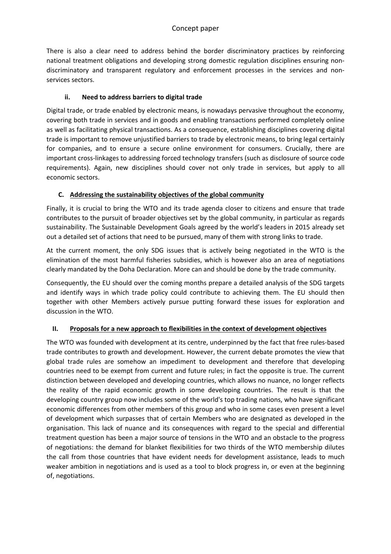There is also a clear need to address behind the border discriminatory practices by reinforcing national treatment obligations and developing strong domestic regulation disciplines ensuring nondiscriminatory and transparent regulatory and enforcement processes in the services and nonservices sectors.

## **ii. Need to address barriers to digital trade**

Digital trade, or trade enabled by electronic means, is nowadays pervasive throughout the economy, covering both trade in services and in goods and enabling transactions performed completely online as well as facilitating physical transactions. As a consequence, establishing disciplines covering digital trade is important to remove unjustified barriers to trade by electronic means, to bring legal certainly for companies, and to ensure a secure online environment for consumers. Crucially, there are important cross-linkages to addressing forced technology transfers (such as disclosure of source code requirements). Again, new disciplines should cover not only trade in services, but apply to all economic sectors.

# **C. Addressing the sustainability objectives of the global community**

Finally, it is crucial to bring the WTO and its trade agenda closer to citizens and ensure that trade contributes to the pursuit of broader objectives set by the global community, in particular as regards sustainability. The Sustainable Development Goals agreed by the world's leaders in 2015 already set out a detailed set of actions that need to be pursued, many of them with strong links to trade.

At the current moment, the only SDG issues that is actively being negotiated in the WTO is the elimination of the most harmful fisheries subsidies, which is however also an area of negotiations clearly mandated by the Doha Declaration. More can and should be done by the trade community.

Consequently, the EU should over the coming months prepare a detailed analysis of the SDG targets and identify ways in which trade policy could contribute to achieving them. The EU should then together with other Members actively pursue putting forward these issues for exploration and discussion in the WTO.

## **II. Proposals for a new approach to flexibilities in the context of development objectives**

The WTO was founded with development at its centre, underpinned by the fact that free rules-based trade contributes to growth and development. However, the current debate promotes the view that global trade rules are somehow an impediment to development and therefore that developing countries need to be exempt from current and future rules; in fact the opposite is true. The current distinction between developed and developing countries, which allows no nuance, no longer reflects the reality of the rapid economic growth in some developing countries. The result is that the developing country group now includes some of the world's top trading nations, who have significant economic differences from other members of this group and who in some cases even present a level of development which surpasses that of certain Members who are designated as developed in the organisation. This lack of nuance and its consequences with regard to the special and differential treatment question has been a major source of tensions in the WTO and an obstacle to the progress of negotiations: the demand for blanket flexibilities for two thirds of the WTO membership dilutes the call from those countries that have evident needs for development assistance, leads to much weaker ambition in negotiations and is used as a tool to block progress in, or even at the beginning of, negotiations.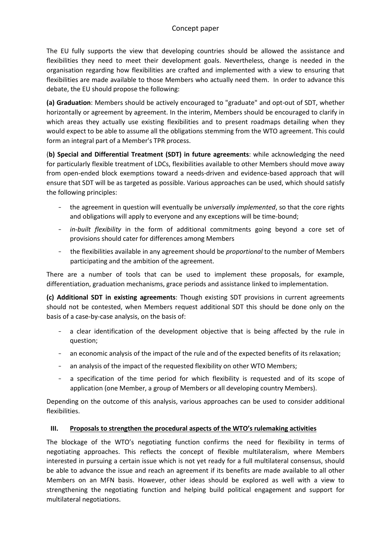The EU fully supports the view that developing countries should be allowed the assistance and flexibilities they need to meet their development goals. Nevertheless, change is needed in the organisation regarding how flexibilities are crafted and implemented with a view to ensuring that flexibilities are made available to those Members who actually need them. In order to advance this debate, the EU should propose the following:

**(a) Graduation**: Members should be actively encouraged to "graduate" and opt-out of SDT, whether horizontally or agreement by agreement. In the interim, Members should be encouraged to clarify in which areas they actually use existing flexibilities and to present roadmaps detailing when they would expect to be able to assume all the obligations stemming from the WTO agreement. This could form an integral part of a Member's TPR process.

(**b) Special and Differential Treatment (SDT) in future agreements**: while acknowledging the need for particularly flexible treatment of LDCs, flexibilities available to other Members should move away from open-ended block exemptions toward a needs-driven and evidence-based approach that will ensure that SDT will be as targeted as possible. Various approaches can be used, which should satisfy the following principles:

- the agreement in question will eventually be *universally implemented*, so that the core rights and obligations will apply to everyone and any exceptions will be time-bound;
- *in-built flexibility* in the form of additional commitments going beyond a core set of provisions should cater for differences among Members
- the flexibilities available in any agreement should be *proportional* to the number of Members participating and the ambition of the agreement.

There are a number of tools that can be used to implement these proposals, for example, differentiation, graduation mechanisms, grace periods and assistance linked to implementation.

**(c) Additional SDT in existing agreements**: Though existing SDT provisions in current agreements should not be contested, when Members request additional SDT this should be done only on the basis of a case-by-case analysis, on the basis of:

- a clear identification of the development objective that is being affected by the rule in question;
- an economic analysis of the impact of the rule and of the expected benefits of its relaxation;
- an analysis of the impact of the requested flexibility on other WTO Members;
- a specification of the time period for which flexibility is requested and of its scope of application (one Member, a group of Members or all developing country Members).

Depending on the outcome of this analysis, various approaches can be used to consider additional flexibilities.

## **III. Proposals to strengthen the procedural aspects of the WTO's rulemaking activities**

The blockage of the WTO's negotiating function confirms the need for flexibility in terms of negotiating approaches. This reflects the concept of flexible multilateralism, where Members interested in pursuing a certain issue which is not yet ready for a full multilateral consensus, should be able to advance the issue and reach an agreement if its benefits are made available to all other Members on an MFN basis. However, other ideas should be explored as well with a view to strengthening the negotiating function and helping build political engagement and support for multilateral negotiations.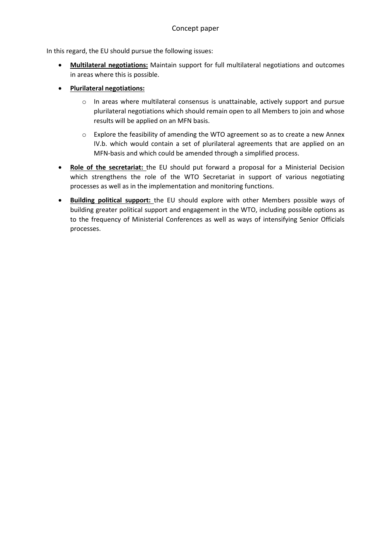In this regard, the EU should pursue the following issues:

- **Multilateral negotiations:** Maintain support for full multilateral negotiations and outcomes in areas where this is possible.
- **Plurilateral negotiations:**
	- o In areas where multilateral consensus is unattainable, actively support and pursue plurilateral negotiations which should remain open to all Members to join and whose results will be applied on an MFN basis.
	- $\circ$  Explore the feasibility of amending the WTO agreement so as to create a new Annex IV.b. which would contain a set of plurilateral agreements that are applied on an MFN-basis and which could be amended through a simplified process.
- **Role of the secretariat:** the EU should put forward a proposal for a Ministerial Decision which strengthens the role of the WTO Secretariat in support of various negotiating processes as well as in the implementation and monitoring functions.
- **Building political support:** the EU should explore with other Members possible ways of building greater political support and engagement in the WTO, including possible options as to the frequency of Ministerial Conferences as well as ways of intensifying Senior Officials processes.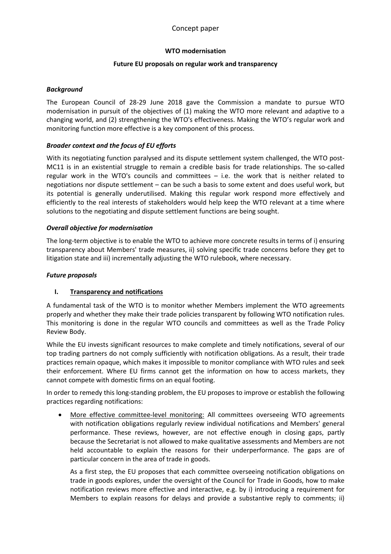## **WTO modernisation**

## **Future EU proposals on regular work and transparency**

### *Background*

The European Council of 28-29 June 2018 gave the Commission a mandate to pursue WTO modernisation in pursuit of the objectives of (1) making the WTO more relevant and adaptive to a changing world, and (2) strengthening the WTO's effectiveness. Making the WTO's regular work and monitoring function more effective is a key component of this process.

## *Broader context and the focus of EU efforts*

With its negotiating function paralysed and its dispute settlement system challenged, the WTO post-MC11 is in an existential struggle to remain a credible basis for trade relationships. The so-called regular work in the WTO's councils and committees – i.e. the work that is neither related to negotiations nor dispute settlement – can be such a basis to some extent and does useful work, but its potential is generally underutilised. Making this regular work respond more effectively and efficiently to the real interests of stakeholders would help keep the WTO relevant at a time where solutions to the negotiating and dispute settlement functions are being sought.

## *Overall objective for modernisation*

The long-term objective is to enable the WTO to achieve more concrete results in terms of i) ensuring transparency about Members' trade measures, ii) solving specific trade concerns before they get to litigation state and iii) incrementally adjusting the WTO rulebook, where necessary.

## *Future proposals*

## **I. Transparency and notifications**

A fundamental task of the WTO is to monitor whether Members implement the WTO agreements properly and whether they make their trade policies transparent by following WTO notification rules. This monitoring is done in the regular WTO councils and committees as well as the Trade Policy Review Body.

While the EU invests significant resources to make complete and timely notifications, several of our top trading partners do not comply sufficiently with notification obligations. As a result, their trade practices remain opaque, which makes it impossible to monitor compliance with WTO rules and seek their enforcement. Where EU firms cannot get the information on how to access markets, they cannot compete with domestic firms on an equal footing.

In order to remedy this long-standing problem, the EU proposes to improve or establish the following practices regarding notifications:

 More effective committee-level monitoring: All committees overseeing WTO agreements with notification obligations regularly review individual notifications and Members' general performance. These reviews, however, are not effective enough in closing gaps, partly because the Secretariat is not allowed to make qualitative assessments and Members are not held accountable to explain the reasons for their underperformance. The gaps are of particular concern in the area of trade in goods.

As a first step, the EU proposes that each committee overseeing notification obligations on trade in goods explores, under the oversight of the Council for Trade in Goods, how to make notification reviews more effective and interactive, e.g. by i) introducing a requirement for Members to explain reasons for delays and provide a substantive reply to comments; ii)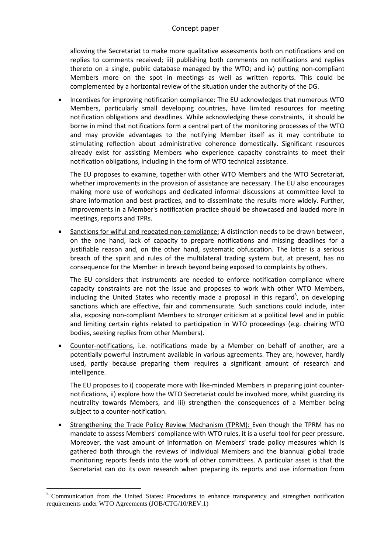allowing the Secretariat to make more qualitative assessments both on notifications and on replies to comments received; iii) publishing both comments on notifications and replies thereto on a single, public database managed by the WTO; and iv) putting non-compliant Members more on the spot in meetings as well as written reports. This could be complemented by a horizontal review of the situation under the authority of the DG.

 Incentives for improving notification compliance: The EU acknowledges that numerous WTO Members, particularly small developing countries, have limited resources for meeting notification obligations and deadlines. While acknowledging these constraints, it should be borne in mind that notifications form a central part of the monitoring processes of the WTO and may provide advantages to the notifying Member itself as it may contribute to stimulating reflection about administrative coherence domestically. Significant resources already exist for assisting Members who experience capacity constraints to meet their notification obligations, including in the form of WTO technical assistance.

The EU proposes to examine, together with other WTO Members and the WTO Secretariat, whether improvements in the provision of assistance are necessary. The EU also encourages making more use of workshops and dedicated informal discussions at committee level to share information and best practices, and to disseminate the results more widely. Further, improvements in a Member's notification practice should be showcased and lauded more in meetings, reports and TPRs.

 Sanctions for wilful and repeated non-compliance: A distinction needs to be drawn between, on the one hand, lack of capacity to prepare notifications and missing deadlines for a justifiable reason and, on the other hand, systematic obfuscation. The latter is a serious breach of the spirit and rules of the multilateral trading system but, at present, has no consequence for the Member in breach beyond being exposed to complaints by others.

The EU considers that instruments are needed to enforce notification compliance where capacity constraints are not the issue and proposes to work with other WTO Members, including the United States who recently made a proposal in this regard<sup>3</sup>, on developing sanctions which are effective, fair and commensurate. Such sanctions could include, inter alia, exposing non-compliant Members to stronger criticism at a political level and in public and limiting certain rights related to participation in WTO proceedings (e.g. chairing WTO bodies, seeking replies from other Members).

 Counter-notifications, i.e. notifications made by a Member on behalf of another, are a potentially powerful instrument available in various agreements. They are, however, hardly used, partly because preparing them requires a significant amount of research and intelligence.

The EU proposes to i) cooperate more with like-minded Members in preparing joint counternotifications, ii) explore how the WTO Secretariat could be involved more, whilst guarding its neutrality towards Members, and iii) strengthen the consequences of a Member being subject to a counter-notification.

 Strengthening the Trade Policy Review Mechanism (TPRM): Even though the TPRM has no mandate to assess Members' compliance with WTO rules, it is a useful tool for peer pressure. Moreover, the vast amount of information on Members' trade policy measures which is gathered both through the reviews of individual Members and the biannual global trade monitoring reports feeds into the work of other committees. A particular asset is that the Secretariat can do its own research when preparing its reports and use information from

<sup>&</sup>lt;sup>3</sup> Communication from the United States: Procedures to enhance transparency and strengthen notification requirements under WTO Agreements (JOB/CTG/10/REV.1)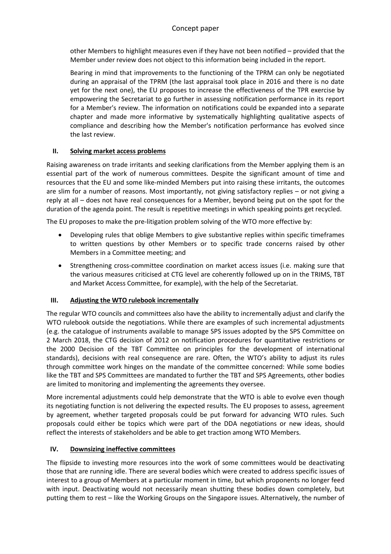other Members to highlight measures even if they have not been notified – provided that the Member under review does not object to this information being included in the report.

Bearing in mind that improvements to the functioning of the TPRM can only be negotiated during an appraisal of the TPRM (the last appraisal took place in 2016 and there is no date yet for the next one), the EU proposes to increase the effectiveness of the TPR exercise by empowering the Secretariat to go further in assessing notification performance in its report for a Member's review. The information on notifications could be expanded into a separate chapter and made more informative by systematically highlighting qualitative aspects of compliance and describing how the Member's notification performance has evolved since the last review.

## **II. Solving market access problems**

Raising awareness on trade irritants and seeking clarifications from the Member applying them is an essential part of the work of numerous committees. Despite the significant amount of time and resources that the EU and some like-minded Members put into raising these irritants, the outcomes are slim for a number of reasons. Most importantly, not giving satisfactory replies – or not giving a reply at all – does not have real consequences for a Member, beyond being put on the spot for the duration of the agenda point. The result is repetitive meetings in which speaking points get recycled.

The EU proposes to make the pre-litigation problem solving of the WTO more effective by:

- Developing rules that oblige Members to give substantive replies within specific timeframes to written questions by other Members or to specific trade concerns raised by other Members in a Committee meeting; and
- Strengthening cross-committee coordination on market access issues (i.e. making sure that the various measures criticised at CTG level are coherently followed up on in the TRIMS, TBT and Market Access Committee, for example), with the help of the Secretariat.

## **III. Adjusting the WTO rulebook incrementally**

The regular WTO councils and committees also have the ability to incrementally adjust and clarify the WTO rulebook outside the negotiations. While there are examples of such incremental adjustments (e.g. the catalogue of instruments available to manage SPS issues adopted by the SPS Committee on 2 March 2018, the CTG decision of 2012 on notification procedures for quantitative restrictions or the 2000 Decision of the TBT Committee on principles for the development of international standards), decisions with real consequence are rare. Often, the WTO's ability to adjust its rules through committee work hinges on the mandate of the committee concerned: While some bodies like the TBT and SPS Committees are mandated to further the TBT and SPS Agreements, other bodies are limited to monitoring and implementing the agreements they oversee.

More incremental adjustments could help demonstrate that the WTO is able to evolve even though its negotiating function is not delivering the expected results. The EU proposes to assess, agreement by agreement, whether targeted proposals could be put forward for advancing WTO rules. Such proposals could either be topics which were part of the DDA negotiations or new ideas, should reflect the interests of stakeholders and be able to get traction among WTO Members.

## **IV. Downsizing ineffective committees**

The flipside to investing more resources into the work of some committees would be deactivating those that are running idle. There are several bodies which were created to address specific issues of interest to a group of Members at a particular moment in time, but which proponents no longer feed with input. Deactivating would not necessarily mean shutting these bodies down completely, but putting them to rest – like the Working Groups on the Singapore issues. Alternatively, the number of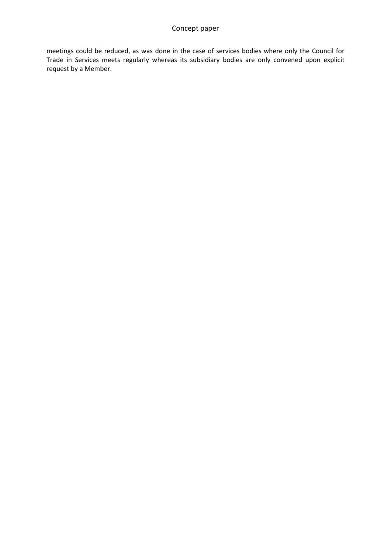meetings could be reduced, as was done in the case of services bodies where only the Council for Trade in Services meets regularly whereas its subsidiary bodies are only convened upon explicit request by a Member.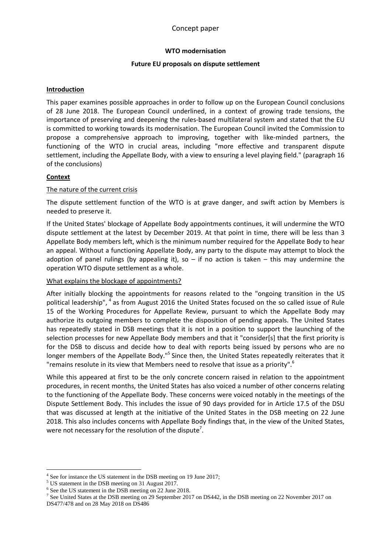### **WTO modernisation**

### **Future EU proposals on dispute settlement**

### **Introduction**

This paper examines possible approaches in order to follow up on the European Council conclusions of 28 June 2018. The European Council underlined, in a context of growing trade tensions, the importance of preserving and deepening the rules-based multilateral system and stated that the EU is committed to working towards its modernisation. The European Council invited the Commission to propose a comprehensive approach to improving, together with like-minded partners, the functioning of the WTO in crucial areas, including "more effective and transparent dispute settlement, including the Appellate Body, with a view to ensuring a level playing field." (paragraph 16 of the conclusions)

## **Context**

### The nature of the current crisis

The dispute settlement function of the WTO is at grave danger, and swift action by Members is needed to preserve it.

If the United States' blockage of Appellate Body appointments continues, it will undermine the WTO dispute settlement at the latest by December 2019. At that point in time, there will be less than 3 Appellate Body members left, which is the minimum number required for the Appellate Body to hear an appeal. Without a functioning Appellate Body, any party to the dispute may attempt to block the adoption of panel rulings (by appealing it), so  $-$  if no action is taken  $-$  this may undermine the operation WTO dispute settlement as a whole.

### What explains the blockage of appointments?

After initially blocking the appointments for reasons related to the "ongoing transition in the US political leadership", <sup>4</sup> as from August 2016 the United States focused on the so called issue of Rule 15 of the Working Procedures for Appellate Review, pursuant to which the Appellate Body may authorize its outgoing members to complete the disposition of pending appeals. The United States has repeatedly stated in DSB meetings that it is not in a position to support the launching of the selection processes for new Appellate Body members and that it "consider[s] that the first priority is for the DSB to discuss and decide how to deal with reports being issued by persons who are no longer members of the Appellate Body."<sup>5</sup> Since then, the United States repeatedly reiterates that it "remains resolute in its view that Members need to resolve that issue as a priority".<sup>6</sup>

While this appeared at first to be the only concrete concern raised in relation to the appointment procedures, in recent months, the United States has also voiced a number of other concerns relating to the functioning of the Appellate Body. These concerns were voiced notably in the meetings of the Dispute Settlement Body. This includes the issue of 90 days provided for in Article 17.5 of the DSU that was discussed at length at the initiative of the United States in the DSB meeting on 22 June 2018. This also includes concerns with Appellate Body findings that, in the view of the United States, were not necessary for the resolution of the dispute<sup>7</sup>.

<sup>5</sup> US statement in the DSB meeting on 31 August 2017.

<sup>&</sup>lt;sup>4</sup> See for instance the US statement in the DSB meeting on 19 June 2017;

<sup>6</sup> See the US statement in the DSB meeting on 22 June 2018.

<sup>&</sup>lt;sup>7</sup> See United States at the DSB meeting on 29 September 2017 on DS442, in the DSB meeting on 22 November 2017 on

DS477/478 and on 28 May 2018 on DS486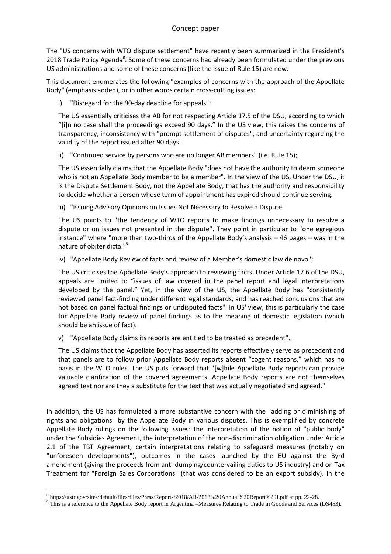The "US concerns with WTO dispute settlement" have recently been summarized in the President's 2018 Trade Policy Agenda<sup>8</sup>. Some of these concerns had already been formulated under the previous US administrations and some of these concerns (like the issue of Rule 15) are new.

This document enumerates the following "examples of concerns with the approach of the Appellate Body" (emphasis added), or in other words certain cross-cutting issues:

i) "Disregard for the 90-day deadline for appeals";

The US essentially criticises the AB for not respecting Article 17.5 of the DSU, according to which "[i]n no case shall the proceedings exceed 90 days." In the US view, this raises the concerns of transparency, inconsistency with "prompt settlement of disputes", and uncertainty regarding the validity of the report issued after 90 days.

ii) "Continued service by persons who are no longer AB members" (i.e. Rule 15);

The US essentially claims that the Appellate Body "does not have the authority to deem someone who is not an Appellate Body member to be a member". In the view of the US, Under the DSU, it is the Dispute Settlement Body, not the Appellate Body, that has the authority and responsibility to decide whether a person whose term of appointment has expired should continue serving.

iii) "Issuing Advisory Opinions on Issues Not Necessary to Resolve a Dispute"

The US points to "the tendency of WTO reports to make findings unnecessary to resolve a dispute or on issues not presented in the dispute". They point in particular to "one egregious instance" where "more than two-thirds of the Appellate Body's analysis – 46 pages – was in the nature of obiter dicta."<sup>9</sup>

iv) "Appellate Body Review of facts and review of a Member's domestic law de novo";

The US criticises the Appellate Body's approach to reviewing facts. Under Article 17.6 of the DSU, appeals are limited to "issues of law covered in the panel report and legal interpretations developed by the panel." Yet, in the view of the US, the Appellate Body has "consistently reviewed panel fact-finding under different legal standards, and has reached conclusions that are not based on panel factual findings or undisputed facts". In US' view, this is particularly the case for Appellate Body review of panel findings as to the meaning of domestic legislation (which should be an issue of fact).

v) "Appellate Body claims its reports are entitled to be treated as precedent".

The US claims that the Appellate Body has asserted its reports effectively serve as precedent and that panels are to follow prior Appellate Body reports absent "cogent reasons." which has no basis in the WTO rules. The US puts forward that "[w]hile Appellate Body reports can provide valuable clarification of the covered agreements, Appellate Body reports are not themselves agreed text nor are they a substitute for the text that was actually negotiated and agreed."

In addition, the US has formulated a more substantive concern with the "adding or diminishing of rights and obligations" by the Appellate Body in various disputes. This is exemplified by concrete Appellate Body rulings on the following issues: the interpretation of the notion of "public body" under the Subsidies Agreement, the interpretation of the non-discrimination obligation under Article 2.1 of the TBT Agreement, certain interpretations relating to safeguard measures (notably on "unforeseen developments"), outcomes in the cases launched by the EU against the Byrd amendment (giving the proceeds from anti-dumping/countervailing duties to US industry) and on Tax Treatment for "Foreign Sales Corporations" (that was considered to be an export subsidy). In the

<sup>8</sup> <https://ustr.gov/sites/default/files/files/Press/Reports/2018/AR/2018%20Annual%20Report%20I.pdf> at pp. 22-28.

<sup>&</sup>lt;sup>9</sup> This is a reference to the Appellate Body report in Argentina –Measures Relating to Trade in Goods and Services (DS453).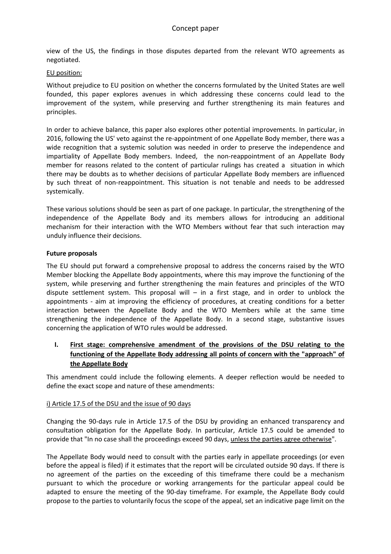view of the US, the findings in those disputes departed from the relevant WTO agreements as negotiated.

### EU position:

Without prejudice to EU position on whether the concerns formulated by the United States are well founded, this paper explores avenues in which addressing these concerns could lead to the improvement of the system, while preserving and further strengthening its main features and principles.

In order to achieve balance, this paper also explores other potential improvements. In particular, in 2016, following the US' veto against the re-appointment of one Appellate Body member, there was a wide recognition that a systemic solution was needed in order to preserve the independence and impartiality of Appellate Body members. Indeed, the non-reappointment of an Appellate Body member for reasons related to the content of particular rulings has created a situation in which there may be doubts as to whether decisions of particular Appellate Body members are influenced by such threat of non-reappointment. This situation is not tenable and needs to be addressed systemically.

These various solutions should be seen as part of one package. In particular, the strengthening of the independence of the Appellate Body and its members allows for introducing an additional mechanism for their interaction with the WTO Members without fear that such interaction may unduly influence their decisions.

### **Future proposals**

The EU should put forward a comprehensive proposal to address the concerns raised by the WTO Member blocking the Appellate Body appointments, where this may improve the functioning of the system, while preserving and further strengthening the main features and principles of the WTO dispute settlement system. This proposal will – in a first stage, and in order to unblock the appointments - aim at improving the efficiency of procedures, at creating conditions for a better interaction between the Appellate Body and the WTO Members while at the same time strengthening the independence of the Appellate Body. In a second stage, substantive issues concerning the application of WTO rules would be addressed.

**I. First stage: comprehensive amendment of the provisions of the DSU relating to the functioning of the Appellate Body addressing all points of concern with the "approach" of the Appellate Body**

This amendment could include the following elements. A deeper reflection would be needed to define the exact scope and nature of these amendments:

## i) Article 17.5 of the DSU and the issue of 90 days

Changing the 90-days rule in Article 17.5 of the DSU by providing an enhanced transparency and consultation obligation for the Appellate Body. In particular, Article 17.5 could be amended to provide that "In no case shall the proceedings exceed 90 days, unless the parties agree otherwise".

The Appellate Body would need to consult with the parties early in appellate proceedings (or even before the appeal is filed) if it estimates that the report will be circulated outside 90 days. If there is no agreement of the parties on the exceeding of this timeframe there could be a mechanism pursuant to which the procedure or working arrangements for the particular appeal could be adapted to ensure the meeting of the 90-day timeframe. For example, the Appellate Body could propose to the parties to voluntarily focus the scope of the appeal, set an indicative page limit on the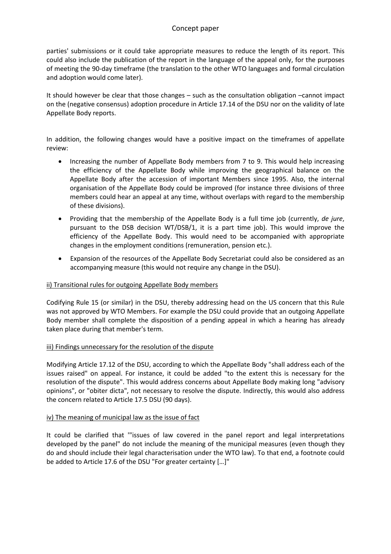parties' submissions or it could take appropriate measures to reduce the length of its report. This could also include the publication of the report in the language of the appeal only, for the purposes of meeting the 90-day timeframe (the translation to the other WTO languages and formal circulation and adoption would come later).

It should however be clear that those changes – such as the consultation obligation –cannot impact on the (negative consensus) adoption procedure in Article 17.14 of the DSU nor on the validity of late Appellate Body reports.

In addition, the following changes would have a positive impact on the timeframes of appellate review:

- Increasing the number of Appellate Body members from 7 to 9. This would help increasing the efficiency of the Appellate Body while improving the geographical balance on the Appellate Body after the accession of important Members since 1995. Also, the internal organisation of the Appellate Body could be improved (for instance three divisions of three members could hear an appeal at any time, without overlaps with regard to the membership of these divisions).
- Providing that the membership of the Appellate Body is a full time job (currently, *de jure*, pursuant to the DSB decision WT/DSB/1, it is a part time job). This would improve the efficiency of the Appellate Body. This would need to be accompanied with appropriate changes in the employment conditions (remuneration, pension etc.).
- Expansion of the resources of the Appellate Body Secretariat could also be considered as an accompanying measure (this would not require any change in the DSU).

### ii) Transitional rules for outgoing Appellate Body members

Codifying Rule 15 (or similar) in the DSU, thereby addressing head on the US concern that this Rule was not approved by WTO Members. For example the DSU could provide that an outgoing Appellate Body member shall complete the disposition of a pending appeal in which a hearing has already taken place during that member's term.

### iii) Findings unnecessary for the resolution of the dispute

Modifying Article 17.12 of the DSU, according to which the Appellate Body "shall address each of the issues raised" on appeal. For instance, it could be added "to the extent this is necessary for the resolution of the dispute". This would address concerns about Appellate Body making long "advisory opinions", or "obiter dicta", not necessary to resolve the dispute. Indirectly, this would also address the concern related to Article 17.5 DSU (90 days).

### iv) The meaning of municipal law as the issue of fact

It could be clarified that '"issues of law covered in the panel report and legal interpretations developed by the panel" do not include the meaning of the municipal measures (even though they do and should include their legal characterisation under the WTO law). To that end, a footnote could be added to Article 17.6 of the DSU "For greater certainty […]"